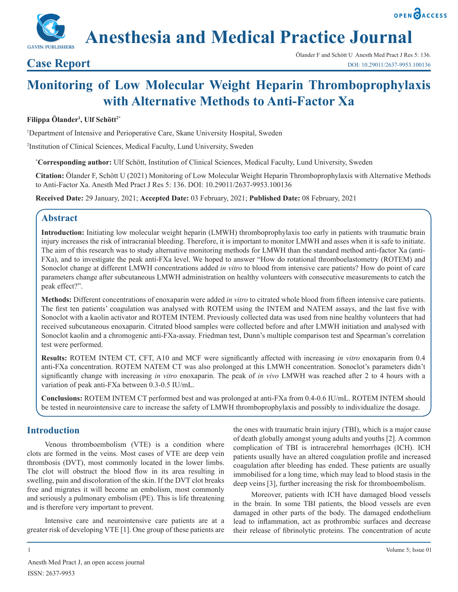**Anesthesia and Medical Practice Journal**

# **Case Report**

OPEN OACCESS

# **Monitoring of Low Molecular Weight Heparin Thromboprophylaxis with Alternative Methods to Anti-Factor Xa**

## **Filippa Ölander1 , Ulf Schött2\***

1 Department of Intensive and Perioperative Care, Skane University Hospital, Sweden

2 Institution of Clinical Sciences, Medical Faculty, Lund University, Sweden

**\* Corresponding author:** Ulf Schött, Institution of Clinical Sciences, Medical Faculty, Lund University, Sweden

**Citation:** Ölander F, Schött U (2021) Monitoring of Low Molecular Weight Heparin Thromboprophylaxis with Alternative Methods to Anti-Factor Xa. Anesth Med Pract J Res 5: 136. DOI: 10.29011/2637-9953.100136

**Received Date:** 29 January, 2021; **Accepted Date:** 03 February, 2021; **Published Date:** 08 February, 2021

# **Abstract**

**Introduction:** Initiating low molecular weight heparin (LMWH) thromboprophylaxis too early in patients with traumatic brain injury increases the risk of intracranial bleeding. Therefore, it is important to monitor LMWH and asses when it is safe to initiate. The aim of this research was to study alternative monitoring methods for LMWH than the standard method anti-factor Xa (anti-FXa), and to investigate the peak anti-FXa level. We hoped to answer "How do rotational thromboelastometry (ROTEM) and Sonoclot change at different LMWH concentrations added *in vitro* to blood from intensive care patients? How do point of care parameters change after subcutaneous LMWH administration on healthy volunteers with consecutive measurements to catch the peak effect?".

**Methods:** Different concentrations of enoxaparin were added *in vitro* to citrated whole blood from fifteen intensive care patients. The first ten patients' coagulation was analysed with ROTEM using the INTEM and NATEM assays, and the last five with Sonoclot with a kaolin activator and ROTEM INTEM. Previously collected data was used from nine healthy volunteers that had received subcutaneous enoxaparin. Citrated blood samples were collected before and after LMWH initiation and analysed with Sonoclot kaolin and a chromogenic anti-FXa-assay. Friedman test, Dunn's multiple comparison test and Spearman's correlation test were performed.

**Results:** ROTEM INTEM CT, CFT, A10 and MCF were significantly affected with increasing *in vitro* enoxaparin from 0.4 anti-FXa concentration. ROTEM NATEM CT was also prolonged at this LMWH concentration. Sonoclot's parameters didn't significantly change with increasing *in vitro* enoxaparin. The peak of *in vivo* LMWH was reached after 2 to 4 hours with a variation of peak anti-FXa between 0.3-0.5 IU/mL.

**Conclusions:** ROTEM INTEM CT performed best and was prolonged at anti-FXa from 0.4-0.6 IU/mL. ROTEM INTEM should be tested in neurointensive care to increase the safety of LMWH thromboprophylaxis and possibly to individualize the dosage.

# **Introduction**

Venous thromboembolism (VTE) is a condition where clots are formed in the veins. Most cases of VTE are deep vein thrombosis (DVT), most commonly located in the lower limbs. The clot will obstruct the blood flow in its area resulting in swelling, pain and discoloration of the skin. If the DVT clot breaks free and migrates it will become an embolism, most commonly and seriously a pulmonary embolism (PE). This is life threatening and is therefore very important to prevent.

Intensive care and neurointensive care patients are at a greater risk of developing VTE [1]. One group of these patients are the ones with traumatic brain injury (TBI), which is a major cause of death globally amongst young adults and youths [2]. A common complication of TBI is intracerebral hemorrhages (ICH). ICH patients usually have an altered coagulation profile and increased coagulation after bleeding has ended. These patients are usually immobilised for a long time, which may lead to blood stasis in the deep veins [3], further increasing the risk for thromboembolism.

Moreover, patients with ICH have damaged blood vessels in the brain. In some TBI patients, the blood vessels are even damaged in other parts of the body. The damaged endothelium lead to inflammation, act as prothrombic surfaces and decrease their release of fibrinolytic proteins. The concentration of acute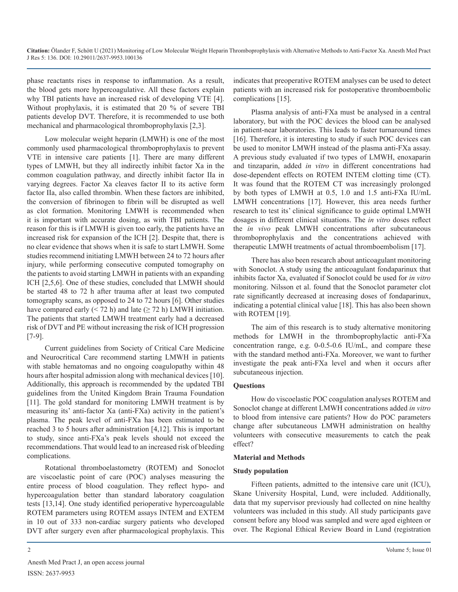phase reactants rises in response to inflammation. As a result, the blood gets more hypercoagulative. All these factors explain why TBI patients have an increased risk of developing VTE [4]. Without prophylaxis, it is estimated that 20 % of severe TBI patients develop DVT. Therefore, it is recommended to use both mechanical and pharmacological thromboprophylaxis [2,3].

Low molecular weight heparin (LMWH) is one of the most commonly used pharmacological thromboprophylaxis to prevent VTE in intensive care patients [1]. There are many different types of LMWH, but they all indirectly inhibit factor Xa in the common coagulation pathway, and directly inhibit factor IIa in varying degrees. Factor Xa cleaves factor II to its active form factor IIa, also called thrombin. When these factors are inhibited, the conversion of fibrinogen to fibrin will be disrupted as well as clot formation. Monitoring LMWH is recommended when it is important with accurate dosing, as with TBI patients. The reason for this is if LMWH is given too early, the patients have an increased risk for expansion of the ICH [2]. Despite that, there is no clear evidence that shows when it is safe to start LMWH. Some studies recommend initiating LMWH between 24 to 72 hours after injury, while performing consecutive computed tomography on the patients to avoid starting LMWH in patients with an expanding ICH [2,5,6]. One of these studies, concluded that LMWH should be started 48 to 72 h after trauma after at least two computed tomography scans, as opposed to 24 to 72 hours [6]. Other studies have compared early ( $\leq$  72 h) and late ( $\geq$  72 h) LMWH initiation. The patients that started LMWH treatment early had a decreased risk of DVT and PE without increasing the risk of ICH progression [7-9].

Current guidelines from Society of Critical Care Medicine and Neurocritical Care recommend starting LMWH in patients with stable hematomas and no ongoing coagulopathy within 48 hours after hospital admission along with mechanical devices [10]. Additionally, this approach is recommended by the updated TBI guidelines from the United Kingdom Brain Trauma Foundation [11]. The gold standard for monitoring LMWH treatment is by measuring its' anti-factor Xa (anti-FXa) activity in the patient's plasma. The peak level of anti-FXa has been estimated to be reached 3 to 5 hours after administration [4,12]. This is important to study, since anti-FXa's peak levels should not exceed the recommendations. That would lead to an increased risk of bleeding complications.

Rotational thromboelastometry (ROTEM) and Sonoclot are viscoelastic point of care (POC) analyses measuring the entire process of blood coagulation. They reflect hypo- and hypercoagulation better than standard laboratory coagulation tests [13,14]. One study identified perioperative hypercoagulable ROTEM parameters using ROTEM assays INTEM and EXTEM in 10 out of 333 non-cardiac surgery patients who developed DVT after surgery even after pharmacological prophylaxis. This indicates that preoperative ROTEM analyses can be used to detect patients with an increased risk for postoperative thromboembolic complications [15].

Plasma analysis of anti-FXa must be analysed in a central laboratory, but with the POC devices the blood can be analysed in patient-near laboratories. This leads to faster turnaround times [16]. Therefore, it is interesting to study if such POC devices can be used to monitor LMWH instead of the plasma anti-FXa assay. A previous study evaluated if two types of LMWH, enoxaparin and tinzaparin, added *in vitro* in different concentrations had dose-dependent effects on ROTEM INTEM clotting time (CT). It was found that the ROTEM CT was increasingly prolonged by both types of LMWH at 0.5, 1.0 and 1.5 anti-FXa IU/mL LMWH concentrations [17]. However, this area needs further research to test its' clinical significance to guide optimal LMWH dosages in different clinical situations. The *in vitro* doses reflect the *in vivo* peak LMWH concentrations after subcutaneous thromboprophylaxis and the concentrations achieved with therapeutic LMWH treatments of actual thromboembolism [17].

There has also been research about anticoagulant monitoring with Sonoclot. A study using the anticoagulant fondaparinux that inhibits factor Xa, evaluated if Sonoclot could be used for *in vitro* monitoring. Nilsson et al. found that the Sonoclot parameter clot rate significantly decreased at increasing doses of fondaparinux, indicating a potential clinical value [18]. This has also been shown with ROTEM [19].

The aim of this research is to study alternative monitoring methods for LMWH in the thromboprophylactic anti-FXa concentration range, e.g. 0-0.5-0.6 IU/mL, and compare these with the standard method anti-FXa. Moreover, we want to further investigate the peak anti-FXa level and when it occurs after subcutaneous injection.

#### **Questions**

How do viscoelastic POC coagulation analyses ROTEM and Sonoclot change at different LMWH concentrations added *in vitro* to blood from intensive care patients? How do POC parameters change after subcutaneous LMWH administration on healthy volunteers with consecutive measurements to catch the peak effect?

#### **Material and Methods**

#### **Study population**

Fifteen patients, admitted to the intensive care unit (ICU), Skane University Hospital, Lund, were included. Additionally, data that my supervisor previously had collected on nine healthy volunteers was included in this study. All study participants gave consent before any blood was sampled and were aged eighteen or over. The Regional Ethical Review Board in Lund (registration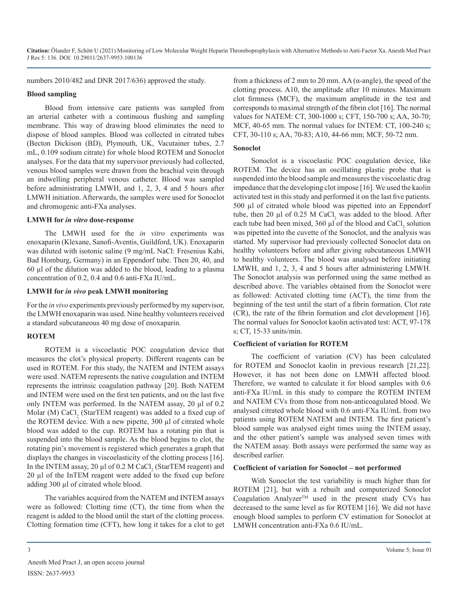numbers 2010/482 and DNR 2017/636) approved the study.

#### **Blood sampling**

Blood from intensive care patients was sampled from an arterial catheter with a continuous flushing and sampling membrane. This way of drawing blood eliminates the need to dispose of blood samples. Blood was collected in citrated tubes (Becton Dickison (BD), Plymouth, UK, Vacutainer tubes, 2.7 mL, 0.109 sodium citrate) for whole blood ROTEM and Sonoclot analyses. For the data that my supervisor previously had collected, venous blood samples were drawn from the brachial vein through an indwelling peripheral venous catheter. Blood was sampled before administrating LMWH, and 1, 2, 3, 4 and 5 hours after LMWH initiation. Afterwards, the samples were used for Sonoclot and chromogenic anti-FXa analyses.

#### **LMWH for** *in vitro* **dose-response**

The LMWH used for the *in vitro* experiments was enoxaparin (Klexane, Sanofi-Aventis, Guildford, UK). Enoxaparin was diluted with isotonic saline (9 mg/mL NaCl: Fresenius Kabi, Bad Homburg, Germany) in an Eppendorf tube. Then 20, 40, and 60 µl of the dilution was added to the blood, leading to a plasma concentration of 0.2, 0.4 and 0.6 anti-FXa IU/mL.

#### **LMWH for** *in vivo* **peak LMWH monitoring**

For the *in vivo* experiments previously performed by my supervisor, the LMWH enoxaparin was used. Nine healthy volunteers received a standard subcutaneous 40 mg dose of enoxaparin.

#### **ROTEM**

ROTEM is a viscoelastic POC coagulation device that measures the clot's physical property. Different reagents can be used in ROTEM. For this study, the NATEM and INTEM assays were used. NATEM represents the native coagulation and INTEM represents the intrinsic coagulation pathway [20]. Both NATEM and INTEM were used on the first ten patients, and on the last five only INTEM was performed. In the NATEM assay, 20 µl of 0.2 Molar (M)  $\text{CaCl}_2$  (StarTEM reagent) was added to a fixed cup of the ROTEM device. With a new pipette, 300 µl of citrated whole blood was added to the cup. ROTEM has a rotating pin that is suspended into the blood sample. As the blood begins to clot, the rotating pin's movement is registered which generates a graph that displays the changes in viscoelasticity of the clotting process [16]. In the INTEM assay, 20  $\mu$ l of 0.2 M CaCl<sub>2</sub> (StarTEM reagent) and 20 µl of the InTEM reagent were added to the fixed cup before adding 300 µl of citrated whole blood.

The variables acquired from the NATEM and INTEM assays were as followed: Clotting time (CT), the time from when the reagent is added to the blood until the start of the clotting process. Clotting formation time (CFT), how long it takes for a clot to get from a thickness of 2 mm to 20 mm. AA (α-angle), the speed of the clotting process. A10, the amplitude after 10 minutes. Maximum clot firmness (MCF), the maximum amplitude in the test and corresponds to maximal strength of the fibrin clot [16]. The normal values for NATEM: CT, 300-1000 s; CFT, 150-700 s; AA, 30-70; MCF, 40-65 mm. The normal values for INTEM: CT, 100-240 s; CFT, 30-110 s; AA, 70-83; A10, 44-66 mm; MCF, 50-72 mm.

#### **Sonoclot**

Sonoclot is a viscoelastic POC coagulation device, like ROTEM. The device has an oscillating plastic probe that is suspended into the blood sample and measures the viscoelastic drag impedance that the developing clot impose [16]. We used the kaolin activated test in this study and performed it on the last five patients. 500 µl of citrated whole blood was pipetted into an Eppendorf tube, then 20  $\mu$ l of 0.25 M CaCl<sub>2</sub> was added to the blood. After each tube had been mixed,  $360 \mu l$  of the blood and  $CaCl<sub>2</sub>$  solution was pipetted into the cuvette of the Sonoclot, and the analysis was started. My supervisor had previously collected Sonoclot data on healthy volunteers before and after giving subcutaneous LMWH to healthy volunteers. The blood was analysed before initiating LMWH, and 1, 2, 3, 4 and 5 hours after administering LMWH. The Sonoclot analysis was performed using the same method as described above. The variables obtained from the Sonoclot were as followed: Activated clotting time (ACT), the time from the beginning of the test until the start of a fibrin formation. Clot rate (CR), the rate of the fibrin formation and clot development [16]. The normal values for Sonoclot kaolin activated test: ACT, 97-178 s; CT, 15-33 units/min.

#### **Coefficient of variation for ROTEM**

The coefficient of variation (CV) has been calculated for ROTEM and Sonoclot kaolin in previous research [21,22]. However, it has not been done on LMWH affected blood. Therefore, we wanted to calculate it for blood samples with 0.6 anti-FXa IU/mL in this study to compare the ROTEM INTEM and NATEM CVs from those from non-anticoagulated blood. We analysed citrated whole blood with 0.6 anti-FXa IU/mL from two patients using ROTEM NATEM and INTEM. The first patient's blood sample was analysed eight times using the INTEM assay, and the other patient's sample was analysed seven times with the NATEM assay. Both assays were performed the same way as described earlier.

#### **Coefficient of variation for Sonoclot – not performed**

With Sonoclot the test variability is much higher than for ROTEM [21], but with a rebuilt and computerized Sonoclot Coagulation Analyzer<sup>TM</sup> used in the present study CVs has decreased to the same level as for ROTEM [16]. We did not have enough blood samples to perform CV estimation for Sonoclot at LMWH concentration anti-FXa 0.6 IU/mL.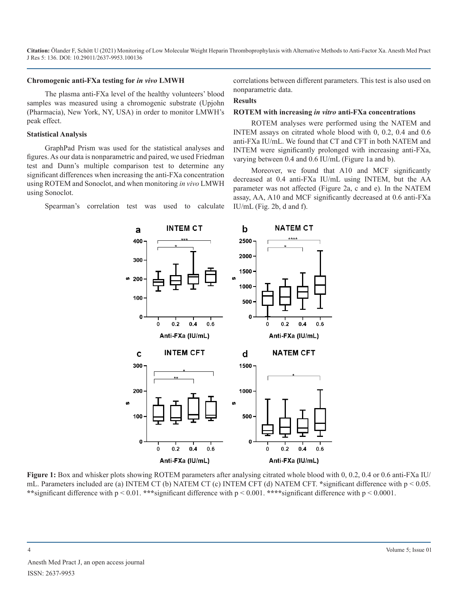#### **Chromogenic anti-FXa testing for** *in vivo* **LMWH**

The plasma anti-FXa level of the healthy volunteers' blood samples was measured using a chromogenic substrate (Upjohn (Pharmacia), New York, NY, USA) in order to monitor LMWH's peak effect.

#### **Statistical Analysis**

GraphPad Prism was used for the statistical analyses and figures. As our data is nonparametric and paired, we used Friedman test and Dunn's multiple comparison test to determine any significant differences when increasing the anti-FXa concentration using ROTEM and Sonoclot, and when monitoring *in vivo* LMWH using Sonoclot.

Spearman's correlation test was used to calculate

correlations between different parameters. This test is also used on nonparametric data.

#### **Results**

#### **ROTEM with increasing** *in vitro* **anti-FXa concentrations**

ROTEM analyses were performed using the NATEM and INTEM assays on citrated whole blood with 0, 0.2, 0.4 and 0.6 anti-FXa IU/mL. We found that CT and CFT in both NATEM and INTEM were significantly prolonged with increasing anti-FXa, varying between 0.4 and 0.6 IU/mL (Figure 1a and b).

Moreover, we found that A10 and MCF significantly decreased at 0.4 anti-FXa IU/mL using INTEM, but the AA parameter was not affected (Figure 2a, c and e). In the NATEM assay, AA, A10 and MCF significantly decreased at 0.6 anti-FXa IU/mL (Fig. 2b, d and f).



**Figure 1:** Box and whisker plots showing ROTEM parameters after analysing citrated whole blood with 0, 0.2, 0.4 or 0.6 anti-FXa IU/ mL. Parameters included are (a) INTEM CT (b) NATEM CT (c) INTEM CFT (d) NATEM CFT. **\***significant difference with p < 0.05. **\*\***significant difference with p < 0.01. **\*\*\***significant difference with p < 0.001. **\*\*\*\***significant difference with p < 0.0001.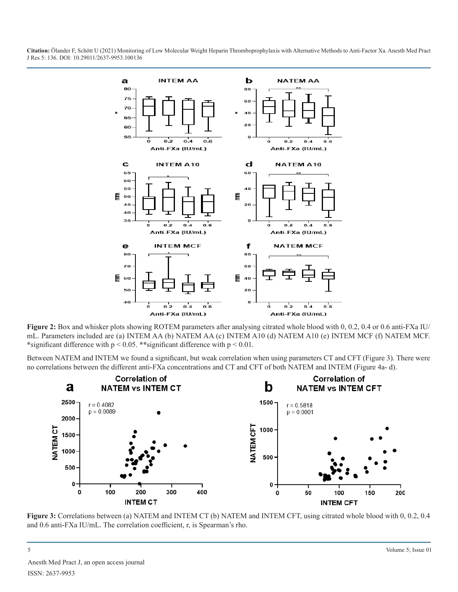

**Figure 2:** Box and whisker plots showing ROTEM parameters after analysing citrated whole blood with 0, 0.2, 0.4 or 0.6 anti-FXa IU/ mL. Parameters included are (a) INTEM AA (b) NATEM AA (c) INTEM A10 (d) NATEM A10 (e) INTEM MCF (f) NATEM MCF. **\***significant difference with p < 0.05. **\*\***significant difference with p < 0.01.

Between NATEM and INTEM we found a significant, but weak correlation when using parameters CT and CFT (Figure 3). There were no correlations between the different anti-FXa concentrations and CT and CFT of both NATEM and INTEM (Figure 4a- d).



**Figure 3:** Correlations between (a) NATEM and INTEM CT (b) NATEM and INTEM CFT, using citrated whole blood with 0, 0.2, 0.4 and 0.6 anti-FXa IU/mL. The correlation coefficient, r, is Spearman's rho.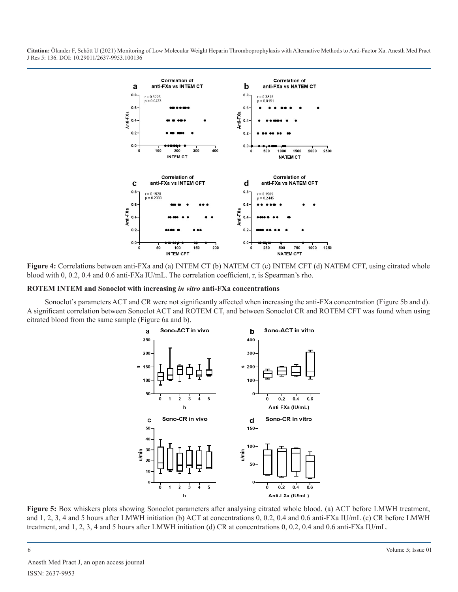

**Figure 4:** Correlations between anti-FXa and (a) INTEM CT (b) NATEM CT (c) INTEM CFT (d) NATEM CFT, using citrated whole blood with 0, 0.2, 0.4 and 0.6 anti-FXa IU/mL. The correlation coefficient, r, is Spearman's rho.

#### **ROTEM INTEM and Sonoclot with increasing** *in vitro* **anti-FXa concentrations**

Sonoclot's parameters ACT and CR were not significantly affected when increasing the anti-FXa concentration (Figure 5b and d). A significant correlation between Sonoclot ACT and ROTEM CT, and between Sonoclot CR and ROTEM CFT was found when using citrated blood from the same sample (Figure 6a and b).



**Figure 5:** Box whiskers plots showing Sonoclot parameters after analysing citrated whole blood. (a) ACT before LMWH treatment, and 1, 2, 3, 4 and 5 hours after LMWH initiation (b) ACT at concentrations 0, 0.2, 0.4 and 0.6 anti-FXa IU/mL (c) CR before LMWH treatment, and 1, 2, 3, 4 and 5 hours after LMWH initiation (d) CR at concentrations 0, 0.2, 0.4 and 0.6 anti-FXa IU/mL.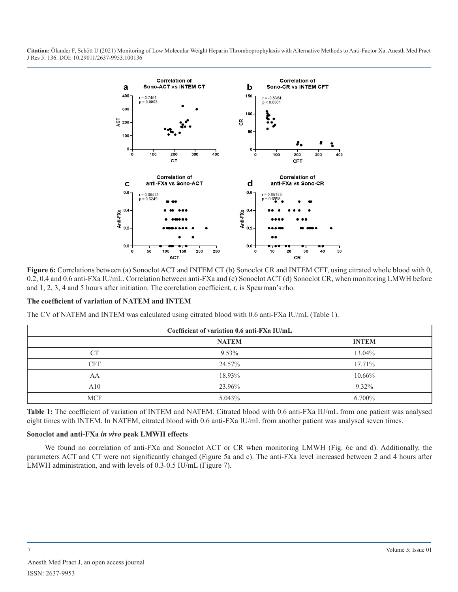

**Figure 6:** Correlations between (a) Sonoclot ACT and INTEM CT (b) Sonoclot CR and INTEM CFT, using citrated whole blood with 0, 0.2, 0.4 and 0.6 anti-FXa IU/mL. Correlation between anti-FXa and (c) Sonoclot ACT (d) Sonoclot CR, when monitoring LMWH before and 1, 2, 3, 4 and 5 hours after initiation. The correlation coefficient, r, is Spearman's rho.

#### **The coefficient of variation of NATEM and INTEM**

The CV of NATEM and INTEM was calculated using citrated blood with 0.6 anti-FXa IU/mL (Table 1).

| Coefficient of variation 0.6 anti-FXa IU/mL |              |              |
|---------------------------------------------|--------------|--------------|
|                                             | <b>NATEM</b> | <b>INTEM</b> |
| CT <sup>-</sup>                             | 9.53%        | 13.04%       |
| CFT                                         | 24.57%       | 17.71%       |
| AA                                          | 18.93%       | 10.66%       |
| A10                                         | 23.96%       | $9.32\%$     |
| <b>MCF</b>                                  | 5.043%       | 6.700%       |

**Table 1:** The coefficient of variation of INTEM and NATEM. Citrated blood with 0.6 anti-FXa IU/mL from one patient was analysed eight times with INTEM. In NATEM, citrated blood with 0.6 anti-FXa IU/mL from another patient was analysed seven times.

#### **Sonoclot and anti-FXa** *in vivo* **peak LMWH effects**

We found no correlation of anti-FXa and Sonoclot ACT or CR when monitoring LMWH (Fig. 6c and d). Additionally, the parameters ACT and CT were not significantly changed (Figure 5a and c). The anti-FXa level increased between 2 and 4 hours after LMWH administration, and with levels of 0.3-0.5 IU/mL (Figure 7).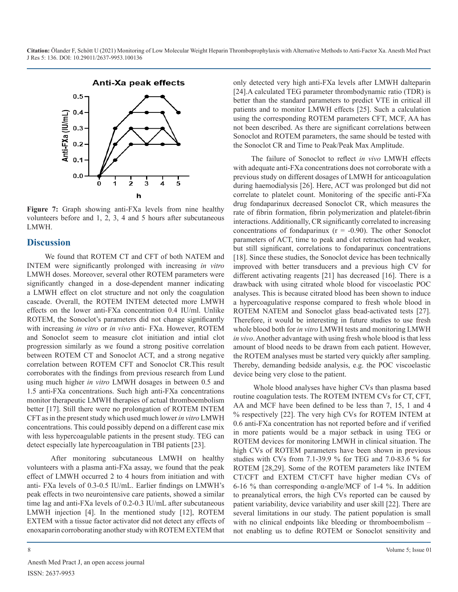

**Figure 7:** Graph showing anti-FXa levels from nine healthy volunteers before and 1, 2, 3, 4 and 5 hours after subcutaneous LMWH.

# **Discussion**

We found that ROTEM CT and CFT of both NATEM and INTEM were significantly prolonged with increasing *in vitro* LMWH doses. Moreover, several other ROTEM parameters were significantly changed in a dose-dependent manner indicating a LMWH effect on clot structure and not only the coagulation cascade. Overall, the ROTEM INTEM detected more LMWH effects on the lower anti-FXa concentration 0.4 IU/ml. Unlike ROTEM, the Sonoclot's parameters did not change significantly with increasing *in vitro* or *in vivo* anti- FXa. However, ROTEM and Sonoclot seem to measure clot initiation and intial clot progression similarly as we found a strong positive correlation between ROTEM CT and Sonoclot ACT, and a strong negative correlation between ROTEM CFT and Sonoclot CR.This result corroborates with the findings from previous research from Lund using much higher *in vitro* LMWH dosages in between 0.5 and 1.5 anti-FXa concentrations. Such high anti-FXa concentrations monitor therapeutic LMWH therapies of actual thromboembolism better [17]. Still there were no prolongation of ROTEM INTEM CFT as in the present study which used much lower *in vitro* LMWH concentrations. This could possibly depend on a different case mix with less hypercoagulable patients in the present study. TEG can detect especially late hypercoagulation in TBI patients [23].

 After monitoring subcutaneous LMWH on healthy volunteers with a plasma anti-FXa assay, we found that the peak effect of LMWH occurred 2 to 4 hours from initiation and with anti- FXa levels of 0.3-0.5 IU/mL. Earlier findings on LMWH's peak effects in two neurointensive care patients, showed a similar time lag and anti-FXa levels of 0.2-0.3 IU/mL after subcutaneous LMWH injection [4]. In the mentioned study [12], ROTEM EXTEM with a tissue factor activator did not detect any effects of enoxaparin corroborating another study with ROTEM EXTEM that

only detected very high anti-FXa levels after LMWH dalteparin [24].A calculated TEG parameter thrombodynamic ratio (TDR) is better than the standard parameters to predict VTE in critical ill patients and to monitor LMWH effects [25]. Such a calculation using the corresponding ROTEM parameters CFT, MCF, AA has not been described. As there are significant correlations between Sonoclot and ROTEM parameters, the same should be tested with the Sonoclot CR and Time to Peak/Peak Max Amplitude.

The failure of Sonoclot to reflect *in vivo* LMWH effects with adequate anti-FXa concentrations does not corroborate with a previous study on different dosages of LMWH for anticoagulation during haemodialysis [26]. Here, ACT was prolonged but did not correlate to platelet count. Monitoring of the specific anti-FXa drug fondaparinux decreased Sonoclot CR, which measures the rate of fibrin formation, fibrin polymerization and platelet-fibrin interactions. Additionally, CR significantly correlated to increasing concentrations of fondaparinux  $(r = -0.90)$ . The other Sonoclot parameters of ACT, time to peak and clot retraction had weaker, but still significant, correlations to fondaparinux concentrations [18]. Since these studies, the Sonoclot device has been technically improved with better transducers and a previous high CV for different activating reagents [21] has decreased [16]. There is a drawback with using citrated whole blood for viscoelastic POC analyses. This is because citrated blood has been shown to induce a hypercoagulative response compared to fresh whole blood in ROTEM NATEM and Sonoclot glass bead-activated tests [27]. Therefore, it would be interesting in future studies to use fresh whole blood both for *in vitro* LMWH tests and monitoring LMWH *in vivo*. Another advantage with using fresh whole blood is that less amount of blood needs to be drawn from each patient. However, the ROTEM analyses must be started very quickly after sampling. Thereby, demanding bedside analysis, e.g. the POC viscoelastic device being very close to the patient.

 Whole blood analyses have higher CVs than plasma based routine coagulation tests. The ROTEM INTEM CVs for CT, CFT, AA and MCF have been defined to be less than 7, 15, 1 and 4 % respectively [22]. The very high CVs for ROTEM INTEM at 0.6 anti-FXa concentration has not reported before and if verified in more patients would be a major setback in using TEG or ROTEM devices for monitoring LMWH in clinical situation. The high CVs of ROTEM parameters have been shown in previous studies with CVs from 7.1-39.9 % for TEG and 7.0-83.6 % for ROTEM [28,29]. Some of the ROTEM parameters like INTEM CT/CFT and EXTEM CT/CFT have higher median CVs of 6-16 % than corresponding α-angle/MCF of 1-4 %. In addition to preanalytical errors, the high CVs reported can be caused by patient variability, device variability and user skill [22]. There are several limitations in our study. The patient population is small with no clinical endpoints like bleeding or thromboembolism not enabling us to define ROTEM or Sonoclot sensitivity and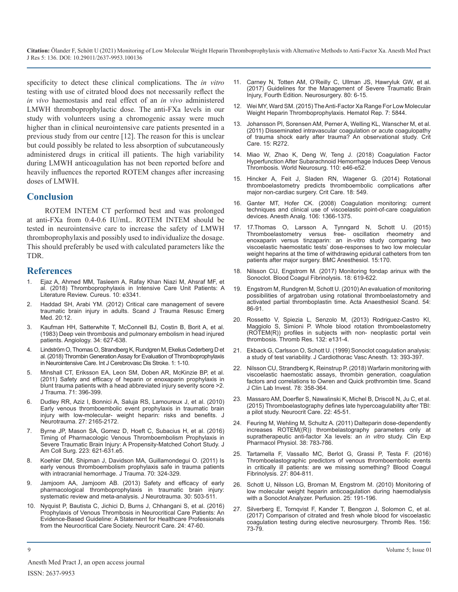specificity to detect these clinical complications. The *in vitro* testing with use of citrated blood does not necessarily reflect the *in vivo* haemostasis and real effect of an *in vivo* administered LMWH thromboprophylactic dose. The anti-FXa levels in our study with volunteers using a chromogenic assay were much higher than in clinical neurointensive care patients presented in a previous study from our centre [12]. The reason for this is unclear but could possibly be related to less absorption of subcutaneously administered drugs in critical ill patients. The high variability during LMWH anticoagulation has not been reported before and heavily influences the reported ROTEM changes after increasing doses of LMWH.

### **Conclusion**

ROTEM INTEM CT performed best and was prolonged at anti-FXa from 0.4-0.6 IU/mL. ROTEM INTEM should be tested in neurointensive care to increase the safety of LMWH thromboprophylaxis and possibly used to individualize the dosage. This should preferably be used with calculated parameters like the TDR.

#### **References**

- 1. [Ejaz A, Ahmed MM, Tasleem A, Rafay Khan Niazi M, Ahsraf MF,](https://www.cureus.com/articles/14691-thromboprophylaxis-in-intensive-care-unit-patients-a-literature-review) et [al. \(2018\) Thromboprophylaxis in Intensive Care Unit Patients: A](https://www.cureus.com/articles/14691-thromboprophylaxis-in-intensive-care-unit-patients-a-literature-review) [Literature Review. Cureus. 10: e3341.](https://www.cureus.com/articles/14691-thromboprophylaxis-in-intensive-care-unit-patients-a-literature-review)
- 2. [Haddad SH, Arabi YM. \(2012\) Critical care management of severe](https://pubmed.ncbi.nlm.nih.gov/22304785/)  [traumatic brain injury in adults. Scand J Trauma Resusc Emerg](https://pubmed.ncbi.nlm.nih.gov/22304785/)  Med. [20:12.](https://pubmed.ncbi.nlm.nih.gov/22304785/)
- Kaufman HH, Satterwhite T, McConnell BJ, Costin B, Borit A, et al. [\(1983\) Deep vein thrombosis and pulmonary embolism in head injured](https://pubmed.ncbi.nlm.nih.gov/6226216/)  [patients. Angiology. 34: 627-638.](https://pubmed.ncbi.nlm.nih.gov/6226216/)
- 4. [Lindström O, Thomas O, Strandberg K, Rundgren M, Ekelius Cederberg D et](https://www.researchgate.net/publication/326734635_Thrombin_Generation_Assay_for_Evaluation_of_Thromboprophylaxis_in_Neurointensive_Care)  [al. \(2018\) Thrombin Generation Assay for Evaluation of Thromboprophylaxis](https://www.researchgate.net/publication/326734635_Thrombin_Generation_Assay_for_Evaluation_of_Thromboprophylaxis_in_Neurointensive_Care)  [in Neurointensive Care. Int J Cerebrovasc Dis Stroke. 1: 1-10.](https://www.researchgate.net/publication/326734635_Thrombin_Generation_Assay_for_Evaluation_of_Thromboprophylaxis_in_Neurointensive_Care)
- 5. [Minshall CT, Eriksson EA, Leon SM, Doben AR, McKinzie BP, et al.](https://pubmed.ncbi.nlm.nih.gov/21825943/) [\(2011\) Safety and efficacy of heparin or enoxaparin prophylaxis in](https://pubmed.ncbi.nlm.nih.gov/21825943/)  [blunt trauma patients with a head abbreviated injury severity score >2.](https://pubmed.ncbi.nlm.nih.gov/21825943/) [J Trauma. 71: 396-399.](https://pubmed.ncbi.nlm.nih.gov/21825943/)
- 6. Dudley RR, Aziz I, [Bonnici A, Saluja RS, Lamoureux J, et al. \(2010\)](https://pubmed.ncbi.nlm.nih.gov/20939698/)  [Early venous thromboembolic event prophylaxis in traumatic brain](https://pubmed.ncbi.nlm.nih.gov/20939698/)  [injury with low-molecular- weight heparin: risks and benefits. J](https://pubmed.ncbi.nlm.nih.gov/20939698/)  Neurotrauma. [27: 2165-2172.](https://pubmed.ncbi.nlm.nih.gov/20939698/)
- 7. [Byrne JP, Mason SA, Gomez D, Hoeft C, Subacius H, et al. \(2016\)](https://pubmed.ncbi.nlm.nih.gov/27453296/) [Timing of Pharmacologic Venous Thromboembolism Prophylaxis in](https://pubmed.ncbi.nlm.nih.gov/27453296/)  [Severe Traumatic Brain Injury: A Propensity-Matched Cohort Study. J](https://pubmed.ncbi.nlm.nih.gov/27453296/)  [Am Coll Surg. 223: 621-631.e5.](https://pubmed.ncbi.nlm.nih.gov/27453296/)
- 8. [Koehler DM, Shipman J, Davidson MA, Guillamondegui O. \(2011\) Is](https://pubmed.ncbi.nlm.nih.gov/21307729/)  [early venous thromboembolism prophylaxis safe in trauma patients](https://pubmed.ncbi.nlm.nih.gov/21307729/) [with intracranial hemorrhage. J Trauma.](https://pubmed.ncbi.nlm.nih.gov/21307729/) 70: 324-329.
- Jamjoom AA, Jamjoom AB. (2013) Safety and efficacy of early [pharmacological thromboprophylaxis in traumatic brain injury:](https://pubmed.ncbi.nlm.nih.gov/23517138/)  [systematic review and meta-analysis. J Neurotrauma.](https://pubmed.ncbi.nlm.nih.gov/23517138/) 30: 503-511.
- 10. [Nyquist P, Bautista C, Jichici D, Burns J, Chhangani S, et al. \(2016\)](https://pubmed.ncbi.nlm.nih.gov/26646118/)  [Prophylaxis of Venous Thrombosis in Neurocritical Care Patients: An](https://pubmed.ncbi.nlm.nih.gov/26646118/)  [Evidence-Based Guideline: A Statement for Healthcare Professionals](https://pubmed.ncbi.nlm.nih.gov/26646118/)  [from the Neurocritical Care](https://pubmed.ncbi.nlm.nih.gov/26646118/) Society. Neurocrit Care. 24: 47-60.
- 11. [Carney N, Totten AM, O'Reilly C, Ullman JS, Hawryluk GW, et](https://pubmed.ncbi.nlm.nih.gov/27654000/) al. [\(2017\) Guidelines for the Management of Severe Traumatic Brain](https://pubmed.ncbi.nlm.nih.gov/27654000/) [Injury, Fourth Edition. Neurosurgery.](https://pubmed.ncbi.nlm.nih.gov/27654000/) 80: 6-15.
- 12. [Wei MY, Ward SM. \(2015\) The Anti-Factor Xa Range For Low Molecular](https://pubmed.ncbi.nlm.nih.gov/26733269/)  [Weight Heparin Thromboprophylaxis. Hematol Rep.](https://pubmed.ncbi.nlm.nih.gov/26733269/) 7: 5844.
- 13. [Johansson PI, Sorensen AM, Perner A, Welling KL, Wanscher M, et al.](https://pubmed.ncbi.nlm.nih.gov/22087841/)  [\(2011\) Disseminated intravascular coagulation or acute coagulopathy](https://pubmed.ncbi.nlm.nih.gov/22087841/)  [of trauma shock early after trauma? An observational study. Crit](https://pubmed.ncbi.nlm.nih.gov/22087841/) Care. [15: R272.](https://pubmed.ncbi.nlm.nih.gov/22087841/)
- 14. [Miao W, Zhao K, Deng W, Teng J. \(2018\) Coagulation Factor](https://pubmed.ncbi.nlm.nih.gov/29196248/) [Hyperfunction After Subarachnoid Hemorrhage Induces Deep Venous](https://pubmed.ncbi.nlm.nih.gov/29196248/)  [Thrombosis. World Neurosurg. 110: e46-e52.](https://pubmed.ncbi.nlm.nih.gov/29196248/)
- 15. [Hincker A, Feit J, Sladen RN, Wagener G. \(2014\) Rotational](https://ccforum.biomedcentral.com/articles/10.1186/s13054-014-0549-2)  [thromboelastometry predicts thromboembolic complications after](https://ccforum.biomedcentral.com/articles/10.1186/s13054-014-0549-2)  [major non-cardiac surgery. Crit Care. 18: 549.](https://ccforum.biomedcentral.com/articles/10.1186/s13054-014-0549-2)
- 16. [Ganter MT, Hofer CK. \(2008\) Coagulation monitoring: current](https://pubmed.ncbi.nlm.nih.gov/18420846/)  [techniques and clinical use of viscoelastic point-of-care coagulation](https://pubmed.ncbi.nlm.nih.gov/18420846/)  [devices. Anesth Analg. 106: 1366-1375.](https://pubmed.ncbi.nlm.nih.gov/18420846/)
- 17. 17[.Thomas O, Larsson A, Tynngard N, Schott U. \(2015\)](https://pubmed.ncbi.nlm.nih.gov/26603039/)  [Thromboelastometry versus free- oscillation rheometry and](https://pubmed.ncbi.nlm.nih.gov/26603039/)  [enoxaparin versus tinzaparin: an in-vitro study comparing two](https://pubmed.ncbi.nlm.nih.gov/26603039/)  [viscoelastic haemostatic tests' dose-responses to two low molecular](https://pubmed.ncbi.nlm.nih.gov/26603039/)  [weight heparins at the time of withdrawing epidural catheters from ten](https://pubmed.ncbi.nlm.nih.gov/26603039/) [patients after major surgery. BMC Anesthesiol.](https://pubmed.ncbi.nlm.nih.gov/26603039/) 15:170.
- 18. [Nilsson CU, Engstrom M. \(2017\) Monitoring fondap arinux with the](https://pubmed.ncbi.nlm.nih.gov/17890948/)  Sonoclot. Blood [Coagul Fibrinolysis. 18: 619-622.](https://pubmed.ncbi.nlm.nih.gov/17890948/)
- 19. [Engstrom M, Rundgren M, Schott U. \(2010\) An evaluation of monitoring](https://pubmed.ncbi.nlm.nih.gov/19719819/)  [possibilities of argatroban using rotational thromboelastometry and](https://pubmed.ncbi.nlm.nih.gov/19719819/)  [activated partial thromboplastin time. Acta Anaesthesiol Scand.](https://pubmed.ncbi.nlm.nih.gov/19719819/) 54: [86-91.](https://pubmed.ncbi.nlm.nih.gov/19719819/)
- 20. Rossetto V, Spiezia L, [Senzolo M, \(2013\) Rodriguez-Castro KI,](https://pubmed.ncbi.nlm.nih.gov/23810655/) [Maggiolo S, Simioni P. Whole blood rotation thromboelastometry](https://pubmed.ncbi.nlm.nih.gov/23810655/)  [\(ROTEM\(R\)\) profiles in subjects with non- neoplastic portal vein](https://pubmed.ncbi.nlm.nih.gov/23810655/)  [thrombosis. Thromb Res.](https://pubmed.ncbi.nlm.nih.gov/23810655/) 132: e131-4.
- 21. [Ekback G, Carlsson O, Schott U. \(1999\) Sonoclot coagulation analysis:](https://pubmed.ncbi.nlm.nih.gov/10468250/)  [a study of test variability. J Cardiothorac Vasc Anesth.](https://pubmed.ncbi.nlm.nih.gov/10468250/) 13: 393-397.
- 22. [Nilsson CU, Strandberg K, Reinstrup P. \(2018\) Warfarin monitoring with](https://pubmed.ncbi.nlm.nih.gov/29792060/)  [viscoelastic haemostatic assays, thrombin generation, coagulation](https://pubmed.ncbi.nlm.nih.gov/29792060/)  [factors and correlations to Owren and Quick prothrombin time. Scand](https://pubmed.ncbi.nlm.nih.gov/29792060/) J Clin Lab Invest. [78: 358-364.](https://pubmed.ncbi.nlm.nih.gov/29792060/)
- 23. [Massaro AM, Doerfler S, Nawalinski K, Michel B, Driscoll N, Ju C, et al.](https://pubmed.ncbi.nlm.nih.gov/25127903/)  [\(2015\) Thromboelastography defines late hypercoagulability after TBI:](https://pubmed.ncbi.nlm.nih.gov/25127903/) [a pilot study. Neurocrit Care. 22: 45-51.](https://pubmed.ncbi.nlm.nih.gov/25127903/)
- 24. [Feuring M, Wehling M, Schultz A. \(2011\) Dalteparin dose-dependently](https://pubmed.ncbi.nlm.nih.gov/21883380/)  [increases ROTEM\(\(R\)\) thrombelastography parameters only at](https://pubmed.ncbi.nlm.nih.gov/21883380/)  [supratherapeutic anti-factor Xa levels: an](https://pubmed.ncbi.nlm.nih.gov/21883380/) *in vitro* study. Clin Exp [Pharmacol Physiol.](https://pubmed.ncbi.nlm.nih.gov/21883380/) 38: 783-786.
- 25. [Tartamella F, Vassallo MC, Berlot G, Grassi P, Testa F. \(2016\)](https://pubmed.ncbi.nlm.nih.gov/26895213/)  [Thromboelastographic predictors of venous thromboembolic events](https://pubmed.ncbi.nlm.nih.gov/26895213/)  [in critically ill patients: are we missing something? Blood Coagul](https://pubmed.ncbi.nlm.nih.gov/26895213/)  Fibrinolysis. [27: 804-811.](https://pubmed.ncbi.nlm.nih.gov/26895213/)
- 26. [Schott U, Nilsson LG, Broman M, Engstrom M. \(2010\) Monitoring of](https://pubmed.ncbi.nlm.nih.gov/20530518/) [low molecular weight heparin anticoagulation during haemodialysis](https://pubmed.ncbi.nlm.nih.gov/20530518/)  [with a Sonoclot Analyzer. Perfusion. 25: 191-196.](https://pubmed.ncbi.nlm.nih.gov/20530518/)
- 27. [Silverberg E, Tornqvist F, Kander T, Bengzon J, Solomon C, et al.](https://pubmed.ncbi.nlm.nih.gov/28601642/) [\(2017\) Comparison of citrated and fresh whole blood for viscoelastic](https://pubmed.ncbi.nlm.nih.gov/28601642/)  [coagulation testing during elective neurosurgery. Thromb Res.](https://pubmed.ncbi.nlm.nih.gov/28601642/) 156: [73-79.](https://pubmed.ncbi.nlm.nih.gov/28601642/)